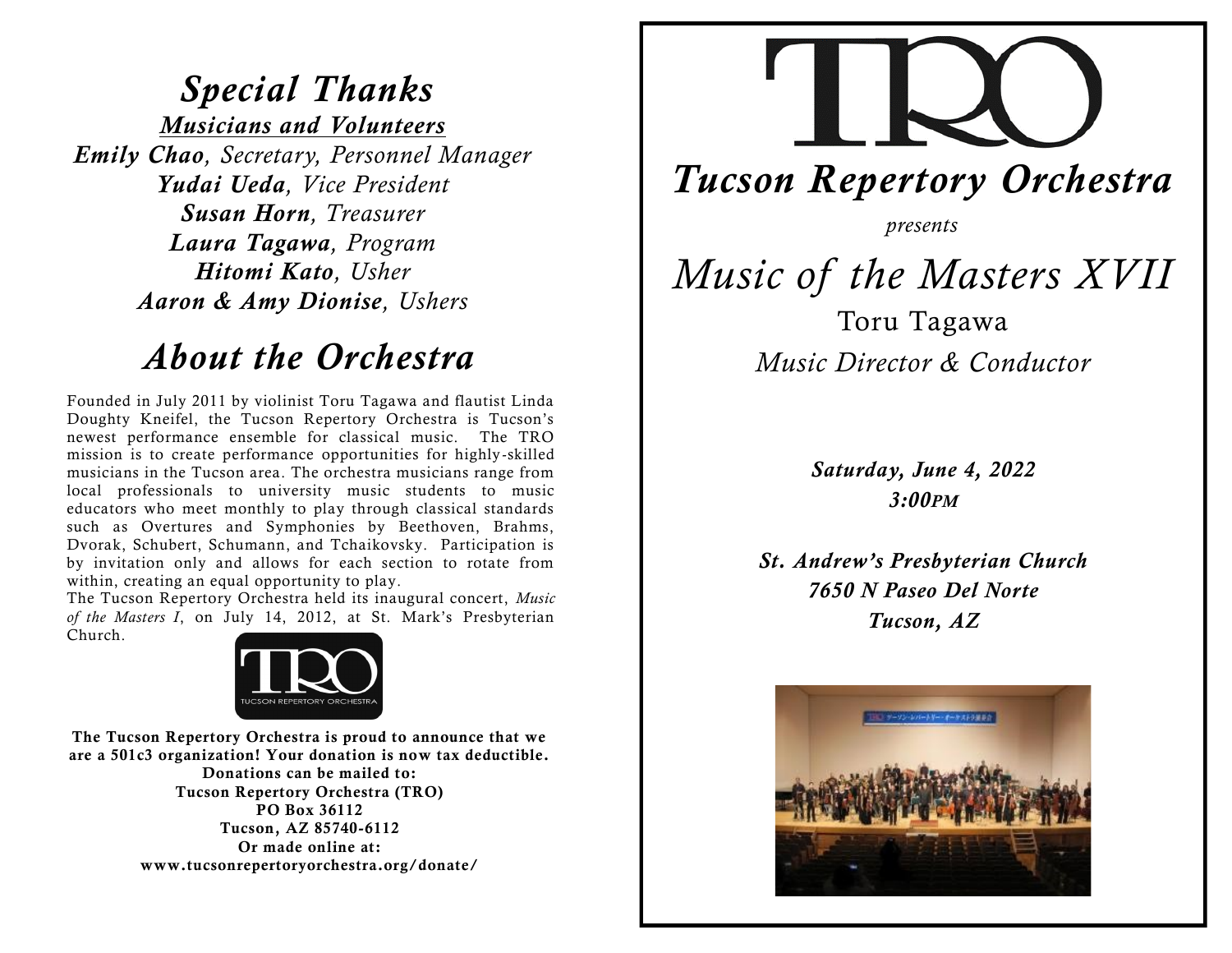### *Special Thanks Musicians and Volunteers Emily Chao, Secretary, Personnel Manager Yudai Ueda, Vice President Susan Horn, Treasurer Laura Tagawa, Program Hitomi Kato, Usher Aaron & Amy Dionise, Ushers*

# *About the Orchestra*

Founded in July 2011 by violinist Toru Tagawa and flautist Linda Doughty Kneifel, the Tucson Repertory Orchestra is Tucson's newest performance ensemble for classical music. The TRO mission is to create performance opportunities for highly-skilled musicians in the Tucson area. The orchestra musicians range from local professionals to university music students to music educators who meet monthly to play through classical standards such as Overtures and Symphonies by Beethoven, Brahms, Dvorak, Schubert, Schumann, and Tchaikovsky. Participation is by invitation only and allows for each section to rotate from within, creating an equal opportunity to play.

The Tucson Repertory Orchestra held its inaugural concert, *Music of the Masters I*, on July 14, 2012, at St. Mark's Presbyterian Church.



The Tucson Repertory Orchestra is proud to announce that we are a 501c3 organization! Your donation is now tax deductible. Donations can be mailed to: Tucson Repertory Orchestra (TRO) PO Box 36112 Tucson, AZ 85740-6112 Or made online at: www.tucsonrepertoryorchestra.org/donate/



*Saturday, June 4, 2022 3:00PM*

*St. Andrew's Presbyterian Church 7650 N Paseo Del Norte Tucson, AZ*

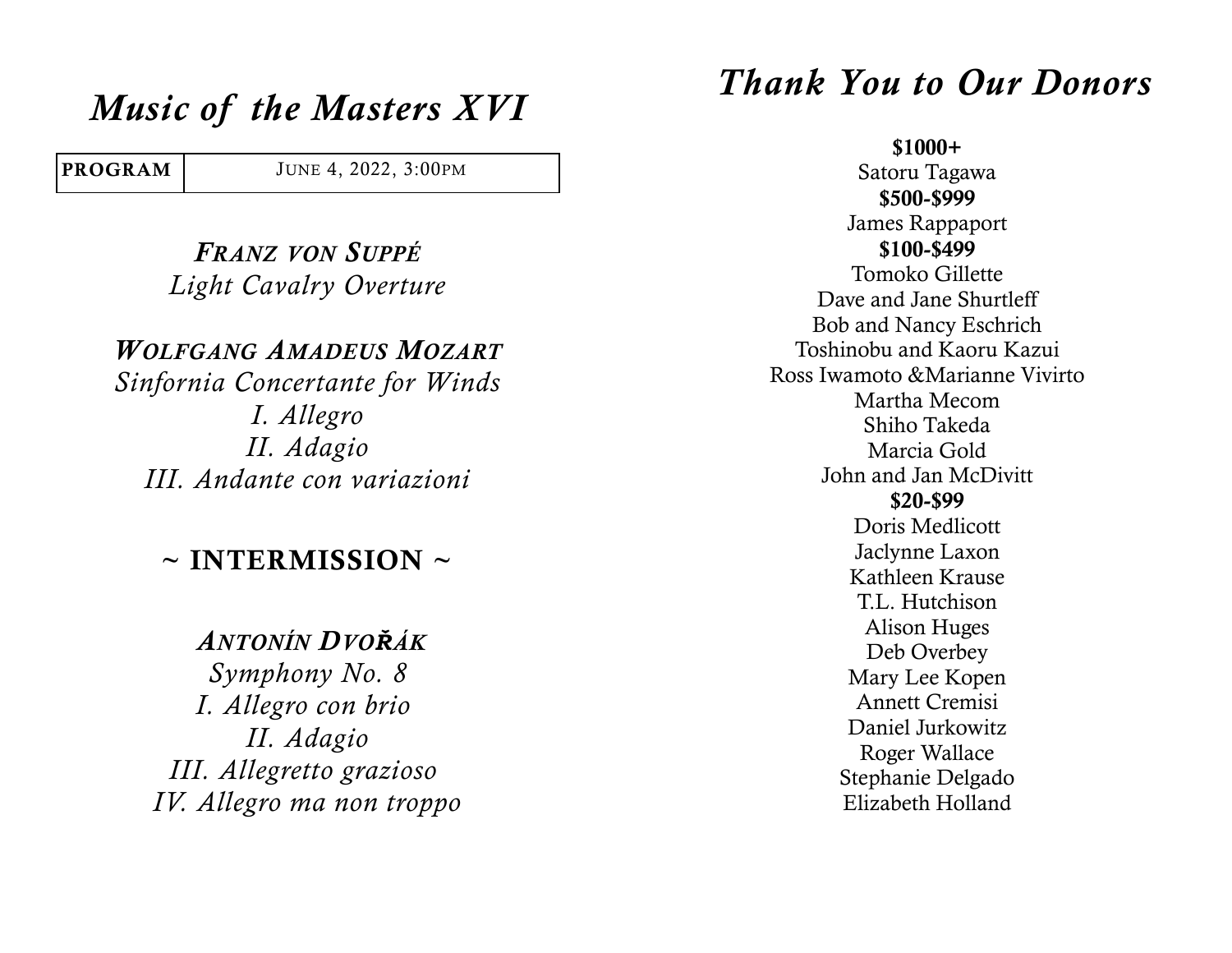# *Music of the Masters XVI*

**PROGRAM** JUNE 4, 2022, 3:00PM

*FRANZ VON SUPPÉ Light Cavalry Overture* 

*WOLFGANG AMADEUS MOZART Sinfornia Concertante for Winds I. Allegro II. Adagio III. Andante con variazioni*

 $\sim$  INTERMISSION  $\sim$ 

### *ANTONÍN DVOŘÁK*

*Symphony No. 8 I. Allegro con brio II. Adagio III. Allegretto grazioso IV. Allegro ma non troppo* 

## *Thank You to Our Donors*

\$1000+ Satoru Tagawa \$500-\$999 James Rappaport \$100-\$499 Tomoko Gillette Dave and Jane Shurtleff Bob and Nancy Eschrich Toshinobu and Kaoru Kazui Ross Iwamoto &Marianne Vivirto Martha Mecom Shiho Takeda Marcia Gold John and Jan McDivitt \$20-\$99 Doris Medlicott Jaclynne Laxon Kathleen Krause T.L. Hutchison Alison Huges Deb Overbey Mary Lee Kopen Annett Cremisi Daniel Jurkowitz Roger Wallace Stephanie Delgado Elizabeth Holland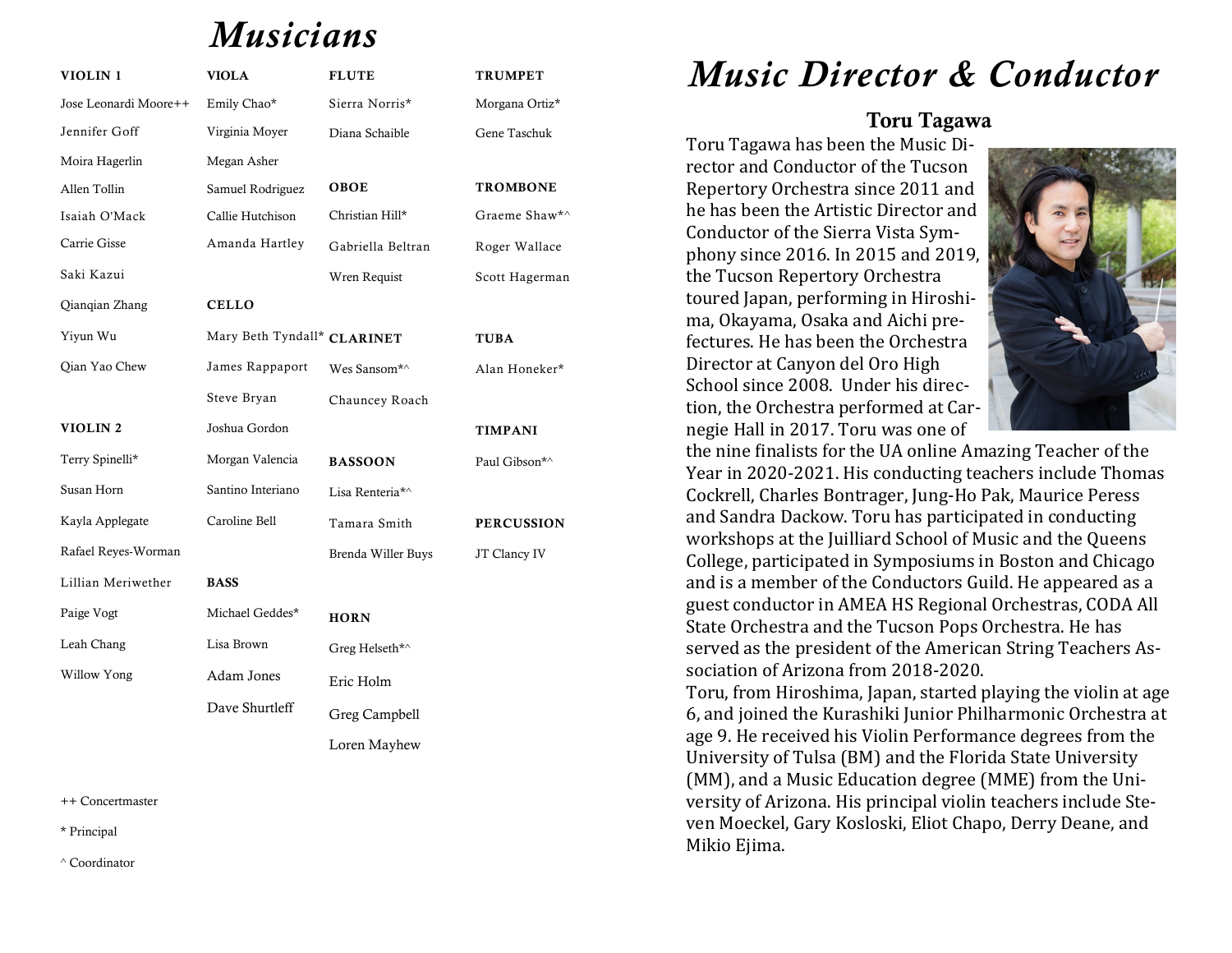## *Musicians*

| VIOLIN <sub>1</sub>   | <b>VIOLA</b>                | <b>FLUTE</b>       | <b>TRUMPET</b>    |
|-----------------------|-----------------------------|--------------------|-------------------|
| Jose Leonardi Moore++ | Emily Chao*                 | Sierra Norris*     | Morgana Ortiz*    |
| Jennifer Goff         | Virginia Moyer              | Diana Schaible     | Gene Taschuk      |
| Moira Hagerlin        | Megan Asher                 |                    |                   |
| Allen Tollin          | Samuel Rodriguez            | OBOE               | <b>TROMBONE</b>   |
| Isaiah O'Mack         | Callie Hutchison            | Christian Hill*    | Graeme Shaw*^     |
| Carrie Gisse          | Amanda Hartley              | Gabriella Beltran  | Roger Wallace     |
| Saki Kazui            |                             | Wren Requist       | Scott Hagerman    |
| Qianqian Zhang        | <b>CELLO</b>                |                    |                   |
| Yiyun Wu              | Mary Beth Tyndall* CLARINET |                    | <b>TUBA</b>       |
| Qian Yao Chew         | James Rappaport             | Wes Sansom*^       | Alan Honeker*     |
|                       | Steve Bryan                 | Chauncey Roach     |                   |
| VIOLIN <sub>2</sub>   | Joshua Gordon               |                    | <b>TIMPANI</b>    |
| Terry Spinelli*       | Morgan Valencia             | <b>BASSOON</b>     | Paul Gibson*^     |
| Susan Horn            | Santino Interiano           | Lisa Renteria*^    |                   |
| Kayla Applegate       | Caroline Bell               | Tamara Smith       | <b>PERCUSSION</b> |
| Rafael Reyes-Worman   |                             | Brenda Willer Buys | JT Clancy IV      |
| Lillian Meriwether    | <b>BASS</b>                 |                    |                   |
| Paige Vogt            | Michael Geddes*             | <b>HORN</b>        |                   |
| Leah Chang            | Lisa Brown                  | Greg Helseth*^     |                   |
| Willow Yong           | Adam Jones                  | Eric Holm          |                   |
|                       | Dave Shurtleff              | Greg Campbell      |                   |
|                       |                             | Loren Mayhew       |                   |

++ Concertmaster

\* Principal

^ Coordinator

## *Music Director & Conductor*

#### Toru Tagawa

Toru Tagawa has been the Music Director and Conductor of the Tucson Repertory Orchestra since 2011 and he has been the Artistic Director and Conductor of the Sierra Vista Symphony since 2016. In 2015 and 2019, the Tucson Repertory Orchestra toured Japan, performing in Hiroshima, Okayama, Osaka and Aichi prefectures. He has been the Orchestra Director at Canyon del Oro High School since 2008. Under his direction, the Orchestra performed at Carnegie Hall in 2017. Toru was one of



the nine finalists for the UA online Amazing Teacher of the Year in 2020-2021. His conducting teachers include Thomas Cockrell, Charles Bontrager, Jung-Ho Pak, Maurice Peress and Sandra Dackow. Toru has participated in conducting workshops at the Juilliard School of Music and the Queens College, participated in Symposiums in Boston and Chicago and is a member of the Conductors Guild. He appeared as a guest conductor in AMEA HS Regional Orchestras, CODA All State Orchestra and the Tucson Pops Orchestra. He has served as the president of the American String Teachers Association of Arizona from 2018-2020.

Toru, from Hiroshima, Japan, started playing the violin at age 6, and joined the Kurashiki Junior Philharmonic Orchestra at age 9. He received his Violin Performance degrees from the University of Tulsa (BM) and the Florida State University (MM), and a Music Education degree (MME) from the University of Arizona. His principal violin teachers include Steven Moeckel, Gary Kosloski, Eliot Chapo, Derry Deane, and Mikio Ejima.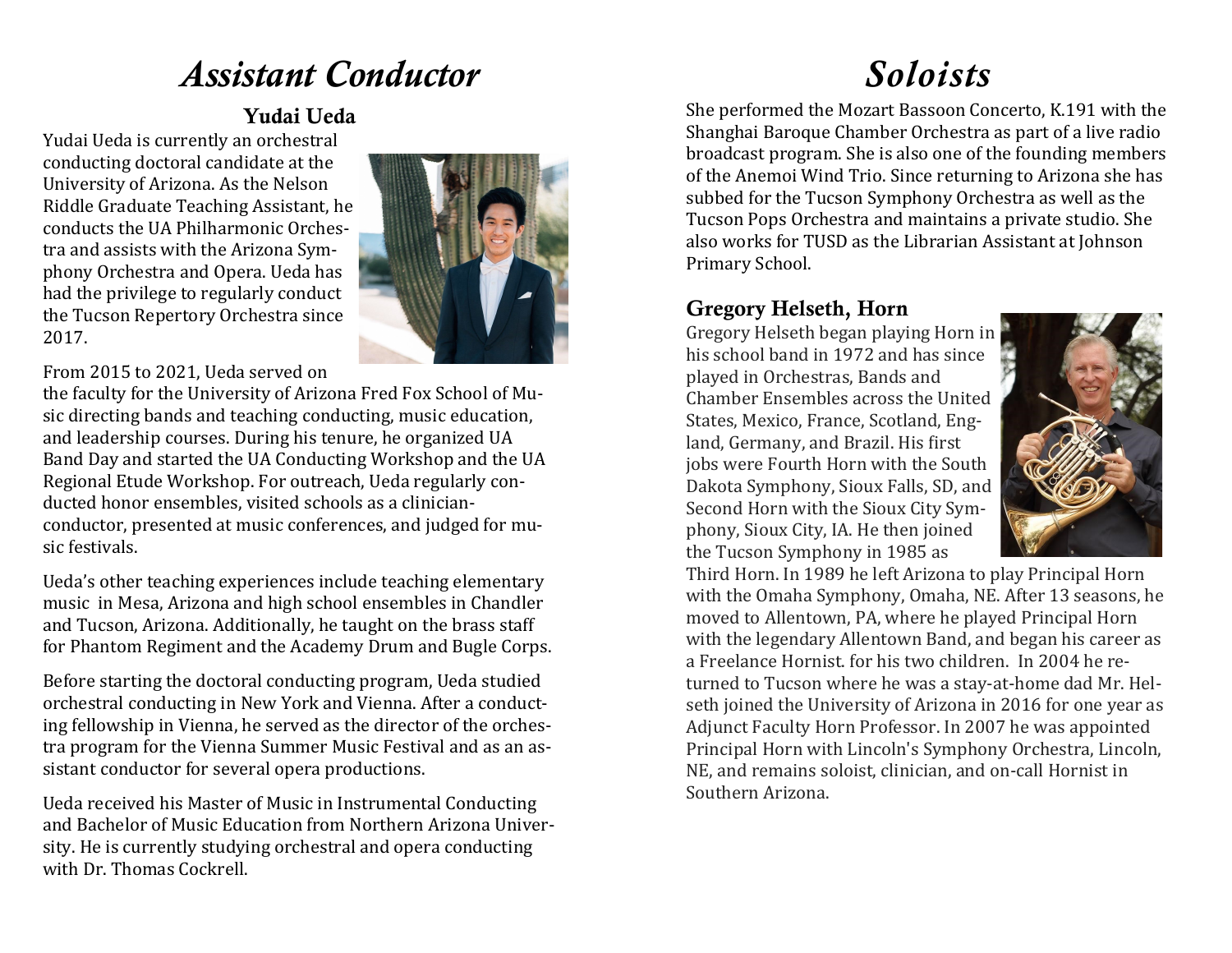## *Assistant Conductor Soloists*

### Yudai Ueda

Yudai Ueda is currently an orchestral conducting doctoral candidate at the University of Arizona. As the Nelson Riddle Graduate Teaching Assistant, he conducts the UA Philharmonic Orchestra and assists with the Arizona Symphony Orchestra and Opera. Ueda has had the privilege to regularly conduct the Tucson Repertory Orchestra since 2017.



#### From 2015 to 2021, Ueda served on

the faculty for the University of Arizona Fred Fox School of Music directing bands and teaching conducting, music education, and leadership courses. During his tenure, he organized UA Band Day and started the UA Conducting Workshop and the UA Regional Etude Workshop. For outreach, Ueda regularly conducted honor ensembles, visited schools as a clinicianconductor, presented at music conferences, and judged for music festivals.

Ueda's other teaching experiences include teaching elementary music in Mesa, Arizona and high school ensembles in Chandler and Tucson, Arizona. Additionally, he taught on the brass staff for Phantom Regiment and the Academy Drum and Bugle Corps.

Before starting the doctoral conducting program, Ueda studied orchestral conducting in New York and Vienna. After a conducting fellowship in Vienna, he served as the director of the orchestra program for the Vienna Summer Music Festival and as an assistant conductor for several opera productions.

Ueda received his Master of Music in Instrumental Conducting and Bachelor of Music Education from Northern Arizona University. He is currently studying orchestral and opera conducting with Dr. Thomas Cockrell.

She performed the Mozart Bassoon Concerto, K.191 with the Shanghai Baroque Chamber Orchestra as part of a live radio broadcast program. She is also one of the founding members of the Anemoi Wind Trio. Since returning to Arizona she has subbed for the Tucson Symphony Orchestra as well as the Tucson Pops Orchestra and maintains a private studio. She also works for TUSD as the Librarian Assistant at Johnson Primary School.

#### Gregory Helseth, Horn

Gregory Helseth began playing Horn in his school band in 1972 and has since played in Orchestras, Bands and Chamber Ensembles across the United States, Mexico, France, Scotland, England, Germany, and Brazil. His first jobs were Fourth Horn with the South Dakota Symphony, Sioux Falls, SD, and Second Horn with the Sioux City Symphony, Sioux City, IA. He then joined the Tucson Symphony in 1985 as



Third Horn. In 1989 he left Arizona to play Principal Horn with the Omaha Symphony, Omaha, NE. After 13 seasons, he moved to Allentown, PA, where he played Principal Horn with the legendary Allentown Band, and began his career as a Freelance Hornist. for his two children. In 2004 he returned to Tucson where he was a stay-at-home dad Mr. Helseth joined the University of Arizona in 2016 for one year as Adjunct Faculty Horn Professor. In 2007 he was appointed Principal Horn with Lincoln's Symphony Orchestra, Lincoln, NE, and remains soloist, clinician, and on-call Hornist in Southern Arizona.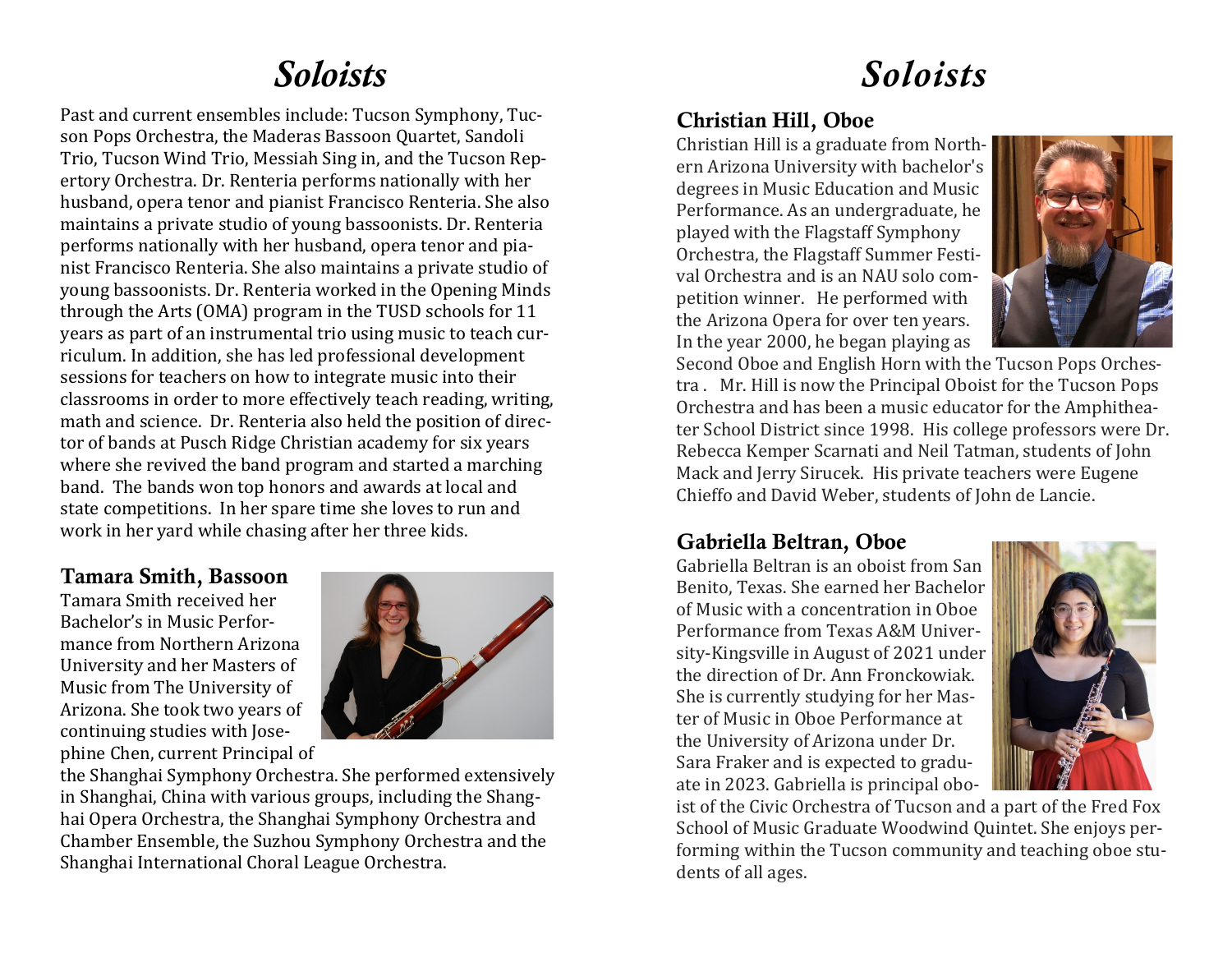Past and current ensembles include: Tucson Symphony, Tucson Pops Orchestra, the Maderas Bassoon Quartet, Sandoli Trio, Tucson Wind Trio, Messiah Sing in, and the Tucson Repertory Orchestra. Dr. Renteria performs nationally with her husband, opera tenor and pianist Francisco Renteria. She also maintains a private studio of young bassoonists. Dr. Renteria performs nationally with her husband, opera tenor and pianist Francisco Renteria. She also maintains a private studio of young bassoonists. Dr. Renteria worked in the Opening Minds through the Arts (OMA) program in the TUSD schools for 11 years as part of an instrumental trio using music to teach curriculum. In addition, she has led professional development sessions for teachers on how to integrate music into their classrooms in order to more effectively teach reading, writing, math and science. Dr. Renteria also held the position of director of bands at Pusch Ridge Christian academy for six years where she revived the band program and started a marching band. The bands won top honors and awards at local and state competitions. In her spare time she loves to run and work in her yard while chasing after her three kids.

#### Tamara Smith, Bassoon

Tamara Smith received her Bachelor's in Music Performance from Northern Arizona University and her Masters of Music from The University of Arizona. She took two years of continuing studies with Josephine Chen, current Principal of



the Shanghai Symphony Orchestra. She performed extensively in Shanghai, China with various groups, including the Shanghai Opera Orchestra, the Shanghai Symphony Orchestra and Chamber Ensemble, the Suzhou Symphony Orchestra and the Shanghai International Choral League Orchestra.

## *Soloists Soloists*

#### Christian Hill, Oboe

Christian Hill is a graduate from Northern Arizona University with bachelor's degrees in Music Education and Music Performance. As an undergraduate, he played with the Flagstaff Symphony Orchestra, the Flagstaff Summer Festival Orchestra and is an NAU solo competition winner. He performed with the Arizona Opera for over ten years. In the year 2000, he began playing as



Second Oboe and English Horn with the Tucson Pops Orchestra . Mr. Hill is now the Principal Oboist for the Tucson Pops Orchestra and has been a music educator for the Amphitheater School District since 1998. His college professors were Dr. Rebecca Kemper Scarnati and Neil Tatman, students of John Mack and Jerry Sirucek. His private teachers were Eugene Chieffo and David Weber, students of John de Lancie.

#### Gabriella Beltran, Oboe

Gabriella Beltran is an oboist from San Benito, Texas. She earned her Bachelor of Music with a concentration in Oboe Performance from Texas A&M University-Kingsville in August of 2021 under the direction of Dr. Ann Fronckowiak. She is currently studying for her Master of Music in Oboe Performance at the University of Arizona under Dr. Sara Fraker and is expected to graduate in 2023. Gabriella is principal obo-



ist of the Civic Orchestra of Tucson and a part of the Fred Fox School of Music Graduate Woodwind Quintet. She enjoys performing within the Tucson community and teaching oboe students of all ages.